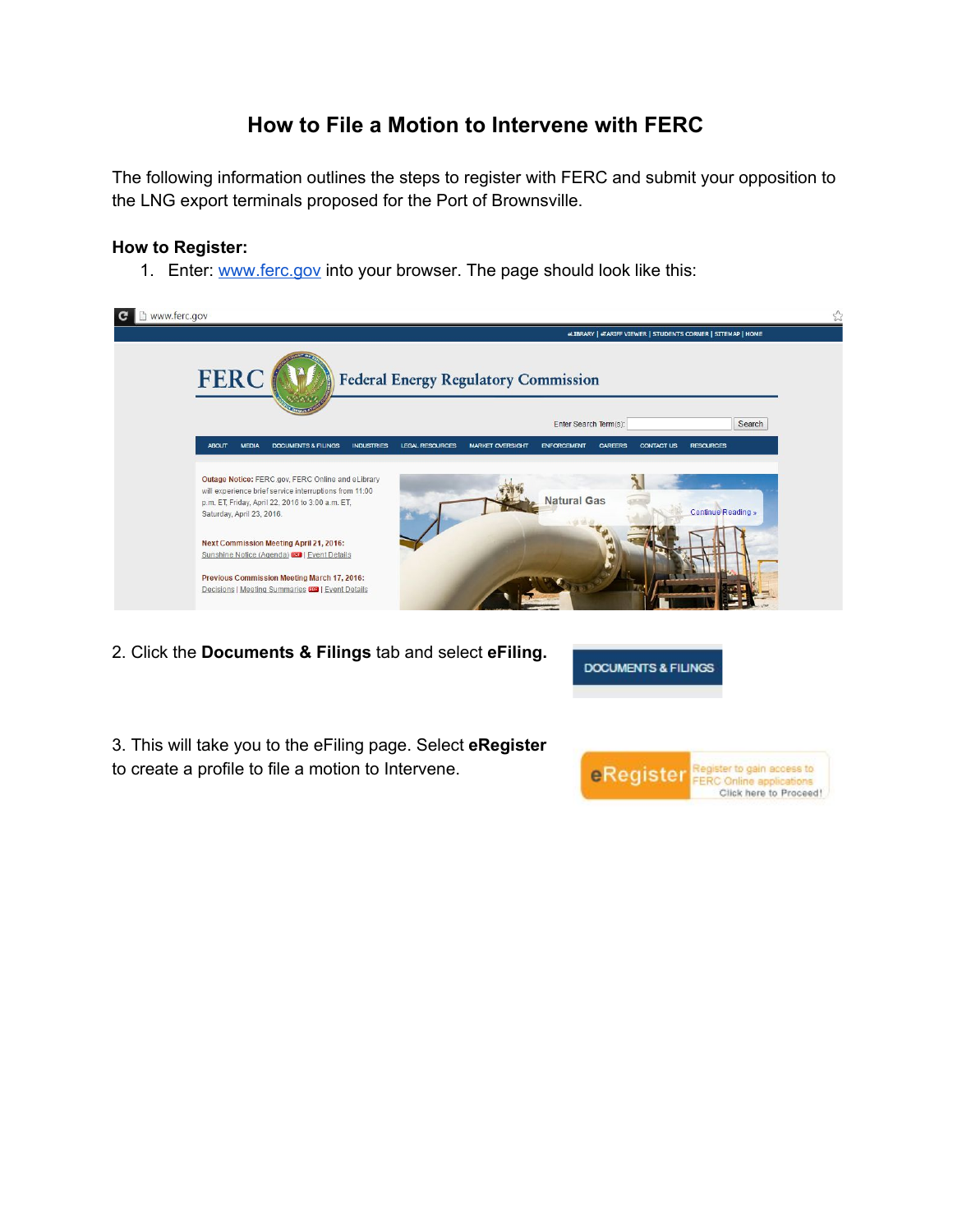# **How to File a Motion to Intervene with FERC**

The following information outlines the steps to register with FERC and submit your opposition to the LNG export terminals proposed for the Port of Brownsville.

### **How to Register:**

1. Enter: [www.ferc.gov](http://www.ferc.gov/) into your browser. The page should look like this:



2. Click the **Documents & Filings** tab and select **eFiling.**

**DOCUMENTS & FILINGS** 

3. This will take you to the eFiling page. Select **eRegister** to create a profile to file a motion to Intervene.

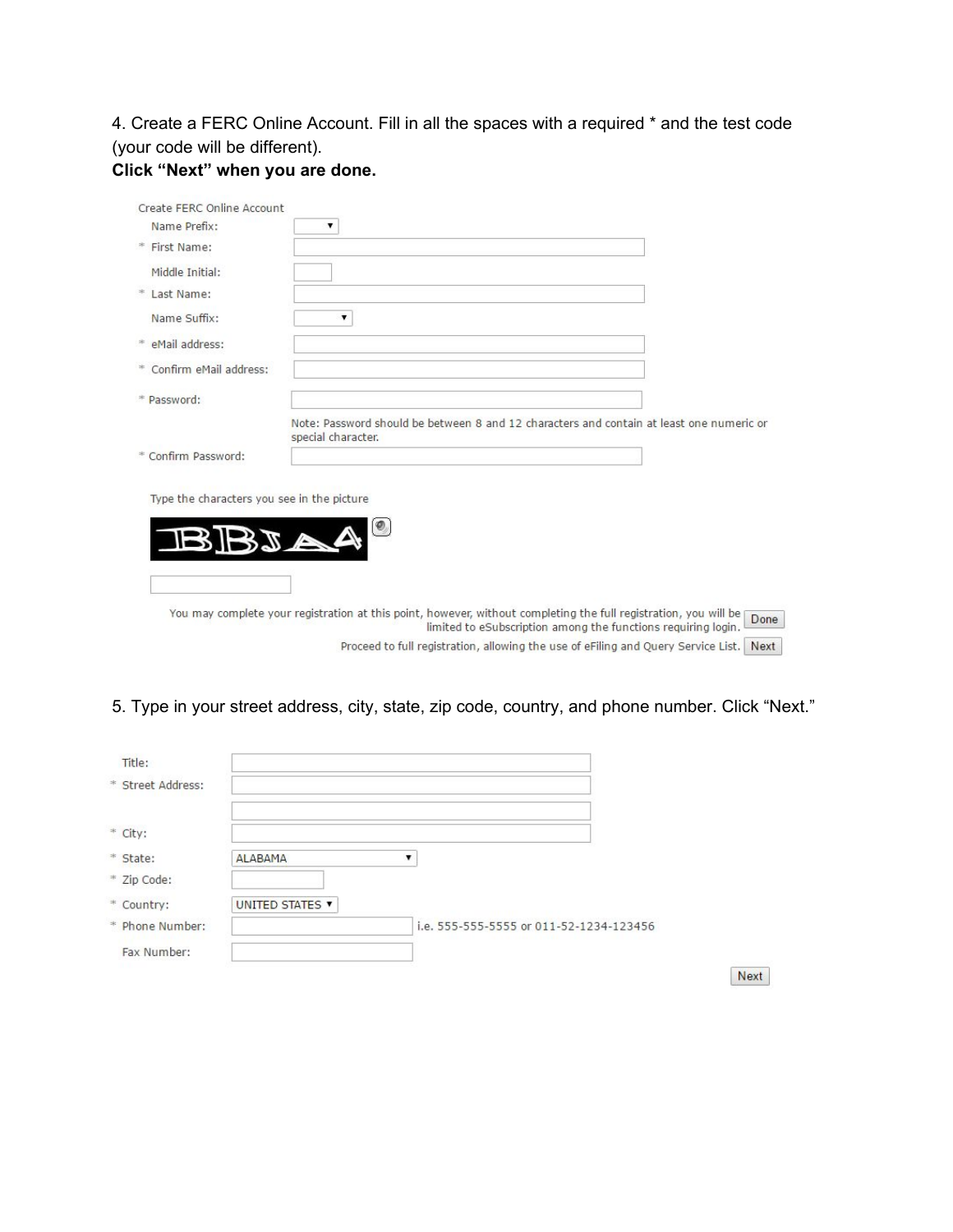4. Create a FERC Online Account. Fill in all the spaces with a required \* and the test code (your code will be different).

## **Click "Next" when you are done.**

| Create FERC Online Account                        |                                                                                                                                                                                           |
|---------------------------------------------------|-------------------------------------------------------------------------------------------------------------------------------------------------------------------------------------------|
| Name Prefix:                                      | ۷                                                                                                                                                                                         |
| * First Name:                                     |                                                                                                                                                                                           |
| Middle Initial:                                   |                                                                                                                                                                                           |
| * Last Name:                                      |                                                                                                                                                                                           |
| Name Suffix:                                      |                                                                                                                                                                                           |
| * eMail address:                                  |                                                                                                                                                                                           |
| * Confirm eMail address:                          |                                                                                                                                                                                           |
| * Password:                                       |                                                                                                                                                                                           |
|                                                   | Note: Password should be between 8 and 12 characters and contain at least one numeric or<br>special character.                                                                            |
| * Confirm Password:                               |                                                                                                                                                                                           |
| Type the characters you see in the picture<br>BJA | $\bullet$<br>VA                                                                                                                                                                           |
|                                                   | You may complete your registration at this point, however, without completing the full registration, you will be<br>Done<br>limited to eSubscription among the functions requiring login. |
|                                                   | Proceed to full registration, allowing the use of eFiling and Query Service List.<br>Next                                                                                                 |

# 5. Type in your street address, city, state, zip code, country, and phone number. Click "Next."

| Title:            |                        |                                         |      |
|-------------------|------------------------|-----------------------------------------|------|
| * Street Address: |                        |                                         |      |
| * City:           |                        |                                         |      |
| * State:          | <b>ALABAMA</b>         | ▼                                       |      |
| * Zip Code:       |                        |                                         |      |
| * Country:        | UNITED STATES <b>v</b> |                                         |      |
| * Phone Number:   |                        | i.e. 555-555-5555 or 011-52-1234-123456 |      |
| Fax Number:       |                        |                                         |      |
|                   |                        |                                         | Next |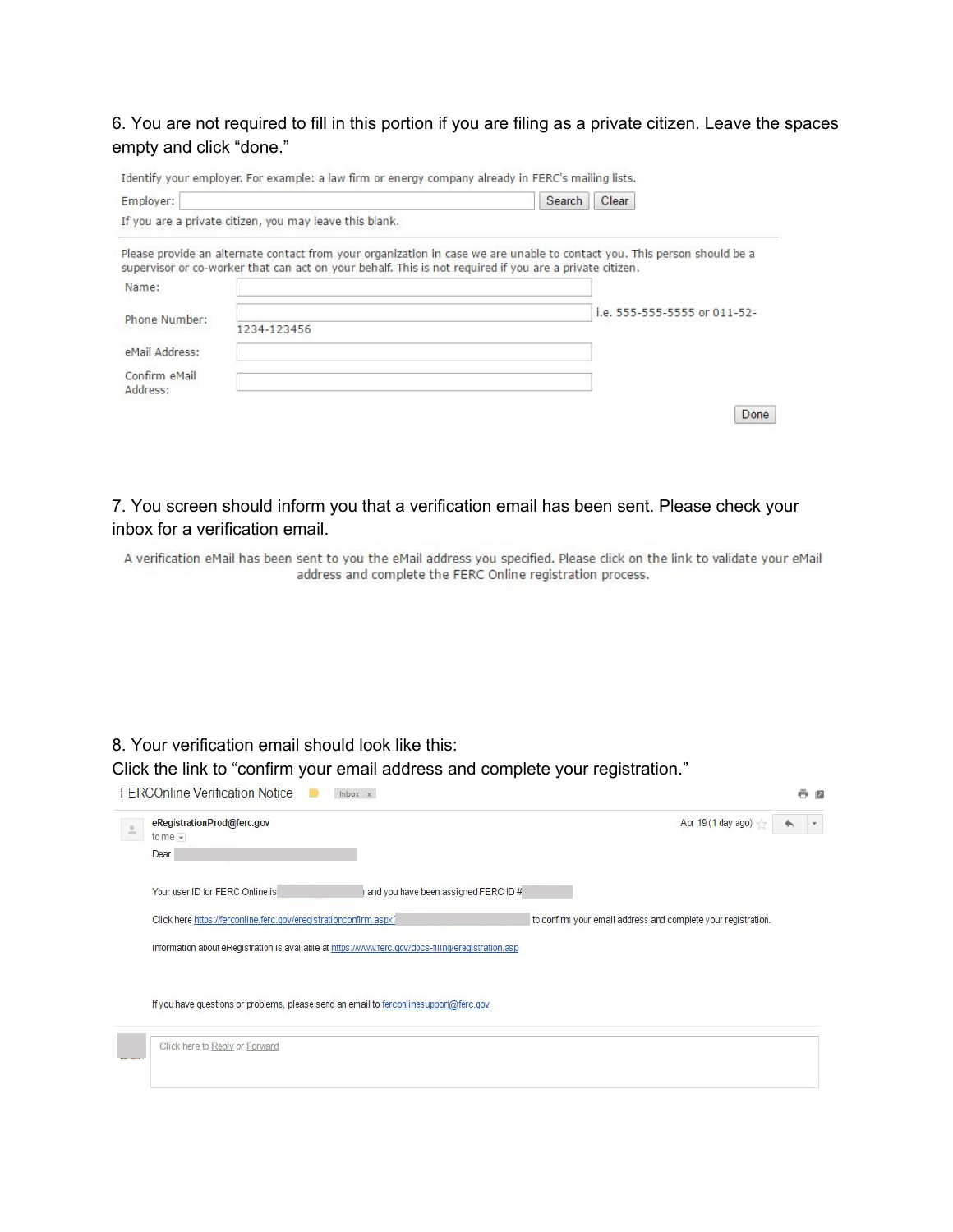6. You are not required to fill in this portion if you are filing as a private citizen. Leave the spaces empty and click "done."

| Employer:                                               |                                                                                                         | Search<br>Clear                                                                                                          |  |  |  |  |
|---------------------------------------------------------|---------------------------------------------------------------------------------------------------------|--------------------------------------------------------------------------------------------------------------------------|--|--|--|--|
| If you are a private citizen, you may leave this blank. |                                                                                                         |                                                                                                                          |  |  |  |  |
|                                                         | supervisor or co-worker that can act on your behalf. This is not required if you are a private citizen. | Please provide an alternate contact from your organization in case we are unable to contact you. This person should be a |  |  |  |  |
| Name:                                                   |                                                                                                         |                                                                                                                          |  |  |  |  |
| Phone Number:                                           |                                                                                                         | i.e. 555-555-5555 or 011-52-                                                                                             |  |  |  |  |
|                                                         | 1234-123456                                                                                             |                                                                                                                          |  |  |  |  |
| eMail Address:                                          |                                                                                                         |                                                                                                                          |  |  |  |  |
| Confirm eMail<br>Address:                               |                                                                                                         |                                                                                                                          |  |  |  |  |
|                                                         |                                                                                                         |                                                                                                                          |  |  |  |  |

7. You screen should inform you that a verification email has been sent. Please check your inbox for a verification email.

A verification eMail has been sent to you the eMail address you specified. Please click on the link to validate your eMail address and complete the FERC Online registration process.

### 8. Your verification email should look like this:

Click the link to "confirm your email address and complete your registration."

| eRegistrationProd@ferc.gov<br>to me $-$                                               |                                                                                                    | Apr 19 (1 day ago)                                            |  |
|---------------------------------------------------------------------------------------|----------------------------------------------------------------------------------------------------|---------------------------------------------------------------|--|
| Dear                                                                                  |                                                                                                    |                                                               |  |
| Your user ID for FERC Online is                                                       | and you have been assigned FERC ID#                                                                |                                                               |  |
| Click here https://ferconline.ferc.gov/eregistrationconfirm.aspx?                     |                                                                                                    | to confirm your email address and complete your registration. |  |
|                                                                                       |                                                                                                    |                                                               |  |
|                                                                                       | Information about eRegistration is available at https://www.ferc.gov/docs-filing/eregistration.asp |                                                               |  |
|                                                                                       |                                                                                                    |                                                               |  |
| If you have questions or problems, please send an email to ferconlinesupport@ferc.gov |                                                                                                    |                                                               |  |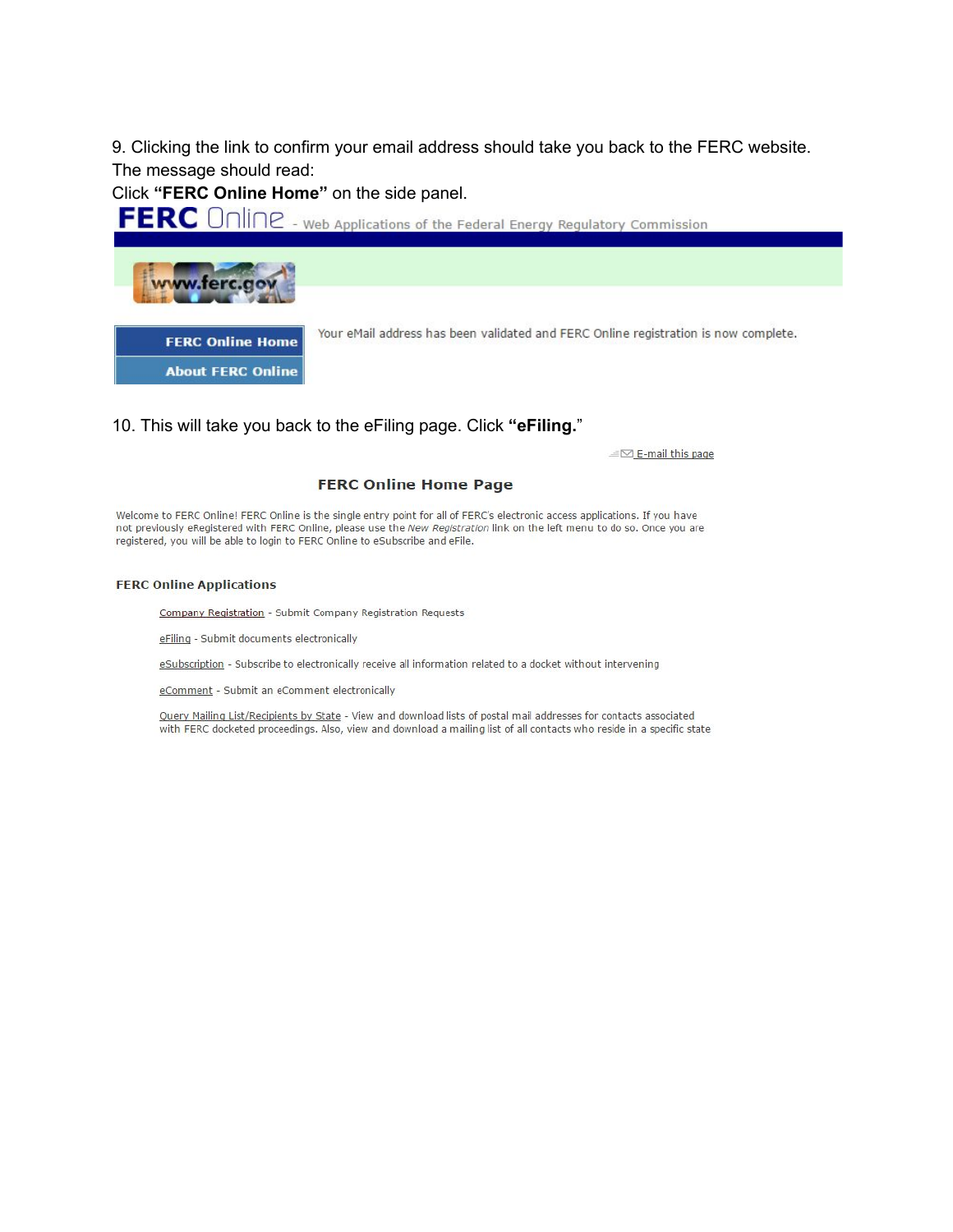9. Clicking the link to confirm your email address should take you back to the FERC website. The message should read:

Click "FERC Online Home" on the side panel.

FERC Online - Web Applications of the Federal Energy Regulatory Commission



**FERC Online Home About FERC Online** 

Your eMail address has been validated and FERC Online registration is now complete.

10. This will take you back to the eFiling page. Click "eFiling."

E-mail this page

#### **FERC Online Home Page**

Welcome to FERC Online! FERC Online is the single entry point for all of FERC's electronic access applications. If you have not previously eRegistered with FERC Online, please use the New Registration link on the left menu to do so. Once you are registered, you will be able to login to FERC Online to eSubscribe and eFile.

#### **FERC Online Applications**

Company Registration - Submit Company Registration Requests

eFiling - Submit documents electronically

eSubscription - Subscribe to electronically receive all information related to a docket without intervening

eComment - Submit an eComment electronically

Query Mailing List/Recipients by State - View and download lists of postal mail addresses for contacts associated with FERC docketed proceedings. Also, view and download a mailing list of all contacts who reside in a specific state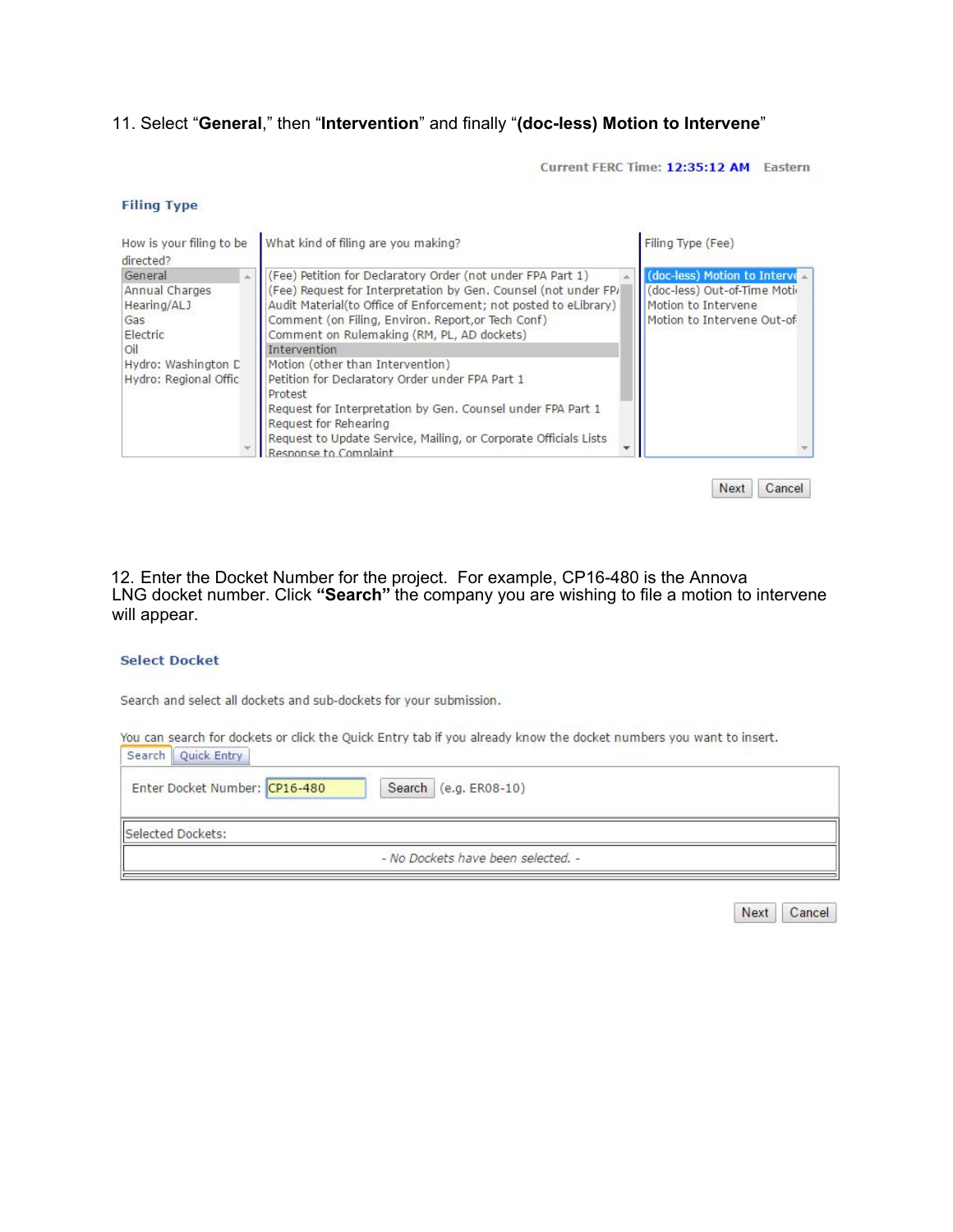### 11. Select "General," then "Intervention" and finally "(doc-less) Motion to Intervene"

Current FERC Time: 12:35:12 AM Eastern

#### **Filing Type**

| How is your filing to be<br>directed?                                                                              | Filing Type (Fee)                                                                                                                                                                                 |
|--------------------------------------------------------------------------------------------------------------------|---------------------------------------------------------------------------------------------------------------------------------------------------------------------------------------------------|
| General<br>Annual Charges<br>Hearing/ALJ<br>Gas<br>Electric<br>Oil<br>Hydro: Washington C<br>Hydro: Regional Offic | (doc-less) Motion to Interve $\triangle$<br>(Fee) Request for Interpretation by Gen. Counsel (not under FP)<br>(doc-less) Out-of-Time Moti-<br>Motion to Intervene<br>Motion to Intervene Out-of- |
|                                                                                                                    |                                                                                                                                                                                                   |

Next Cancel

12. Enter the Docket Number for the project. For example, CP16-480 is the Annova<br>LNG docket number. Click "Search" the company you are wishing to file a motion to intervene will appear.

### **Select Docket**

Search and select all dockets and sub-dockets for your submission.

You can search for dockets or click the Quick Entry tab if you already know the docket numbers you want to insert.

| Search | Quick Entry                   |                                    |  |
|--------|-------------------------------|------------------------------------|--|
|        | Enter Docket Number: CP16-480 | Search (e.g. ER08-10)              |  |
|        | Selected Dockets:             |                                    |  |
|        |                               | - No Dockets have been selected. - |  |

| וב |
|----|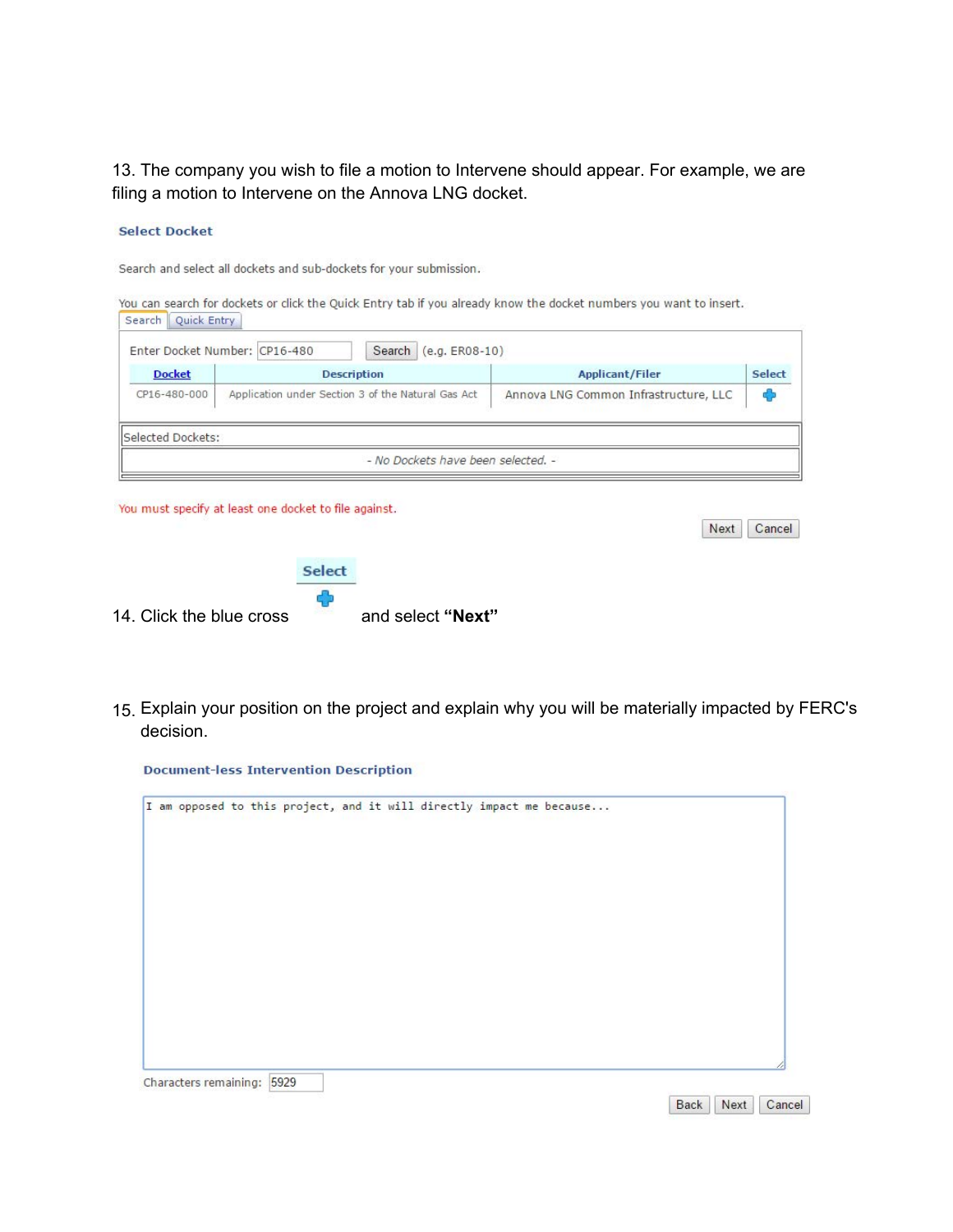13. The company you wish to file a motion to Intervene should appear. For example, we are filing a motion to Intervene on the Annova LNG docket.

#### **Select Docket**

Search and select all dockets and sub-dockets for your submission.

| Search<br>Quick Entry |                               |                                                    | You can search for dockets or click the Quick Entry tab if you already know the docket numbers you want to insert. |        |
|-----------------------|-------------------------------|----------------------------------------------------|--------------------------------------------------------------------------------------------------------------------|--------|
|                       | Enter Docket Number: CP16-480 | Search<br>$(e.g. ERO8-10)$                         |                                                                                                                    |        |
| <b>Docket</b>         |                               | <b>Description</b>                                 | <b>Applicant/Filer</b>                                                                                             | Select |
| CP16-480-000          |                               | Application under Section 3 of the Natural Gas Act | Annova LNG Common Infrastructure, LLC                                                                              | ¢Э     |
| Selected Dockets:     |                               |                                                    |                                                                                                                    |        |
|                       |                               | - No Dockets have been selected. -                 |                                                                                                                    |        |
|                       |                               |                                                    |                                                                                                                    |        |

You must specify at least one docket to file against.

|                          | Select |                   |
|--------------------------|--------|-------------------|
| 14. Click the blue cross |        | and select "Next" |

15. Explain your position on the project and explain why you will be materially impacted by FERC's decision.

Next Cancel

Back Next Cancel

**Document-less Intervention Description**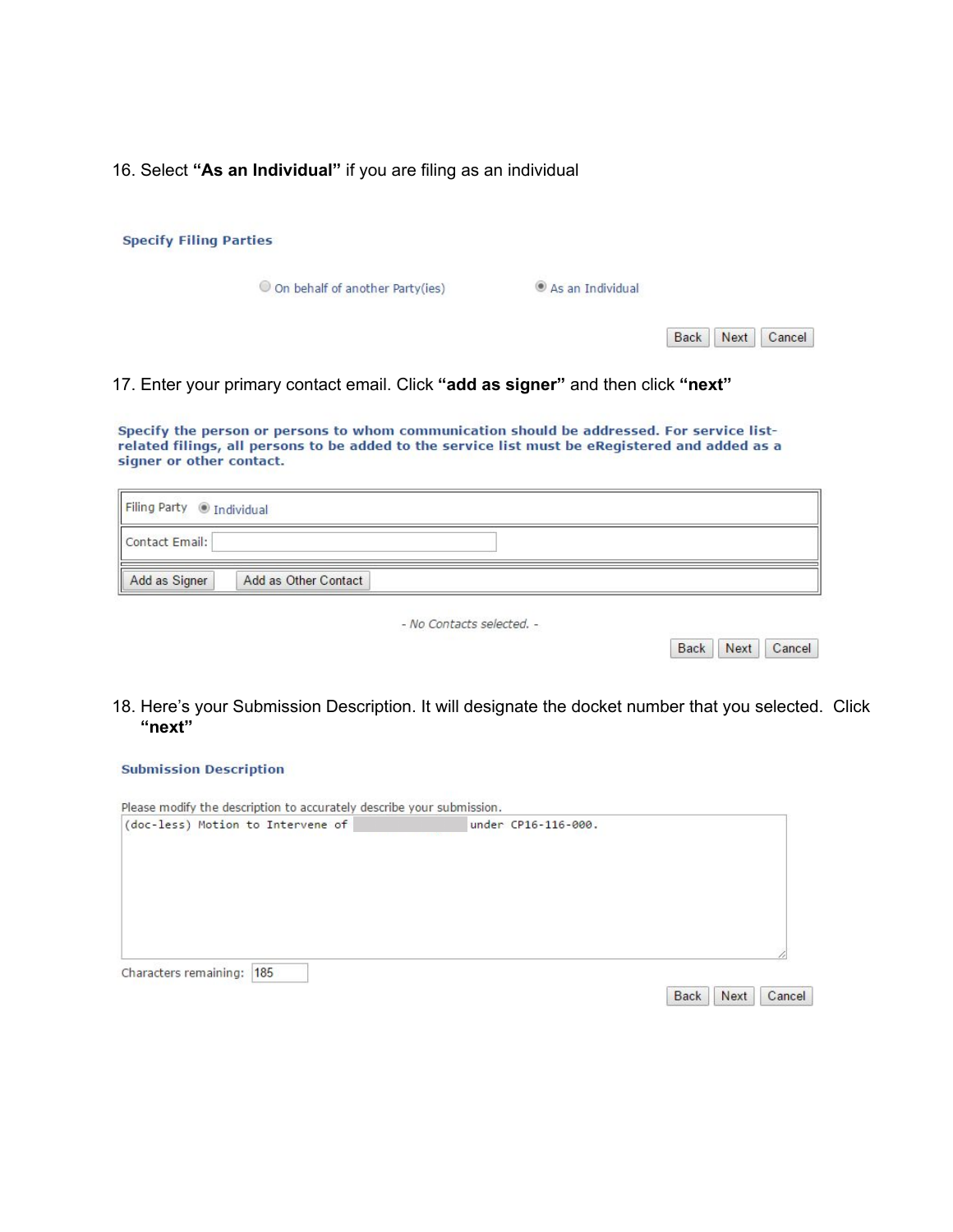16. Select **"As an Individual"** if you are filing as an individual

| <b>Specify Filing Parties</b>                                     |                                                                                   |                                                                                                                                                                                               |        |
|-------------------------------------------------------------------|-----------------------------------------------------------------------------------|-----------------------------------------------------------------------------------------------------------------------------------------------------------------------------------------------|--------|
|                                                                   | O On behalf of another Party(ies)                                                 | As an Individual                                                                                                                                                                              |        |
|                                                                   |                                                                                   | Next<br><b>Back</b>                                                                                                                                                                           | Cancel |
|                                                                   |                                                                                   |                                                                                                                                                                                               |        |
|                                                                   | 17. Enter your primary contact email. Click "add as signer" and then click "next" |                                                                                                                                                                                               |        |
|                                                                   |                                                                                   | Specify the person or persons to whom communication should be addressed. For service list-<br>related filings, all persons to be added to the service list must be eRegistered and added as a |        |
|                                                                   | <b><i>O</i></b> Individual                                                        |                                                                                                                                                                                               |        |
| signer or other contact.<br><b>Filing Party</b><br>Contact Email: |                                                                                   |                                                                                                                                                                                               |        |

18. Here's your Submission Description. It will designate the docket number that you selected. Click **"next"**

Back | Next | Cancel

### **Submission Description**

| (doc-less) Motion to Intervene of |  |  |
|-----------------------------------|--|--|
|                                   |  |  |
|                                   |  |  |
| Characters remaining:  185        |  |  |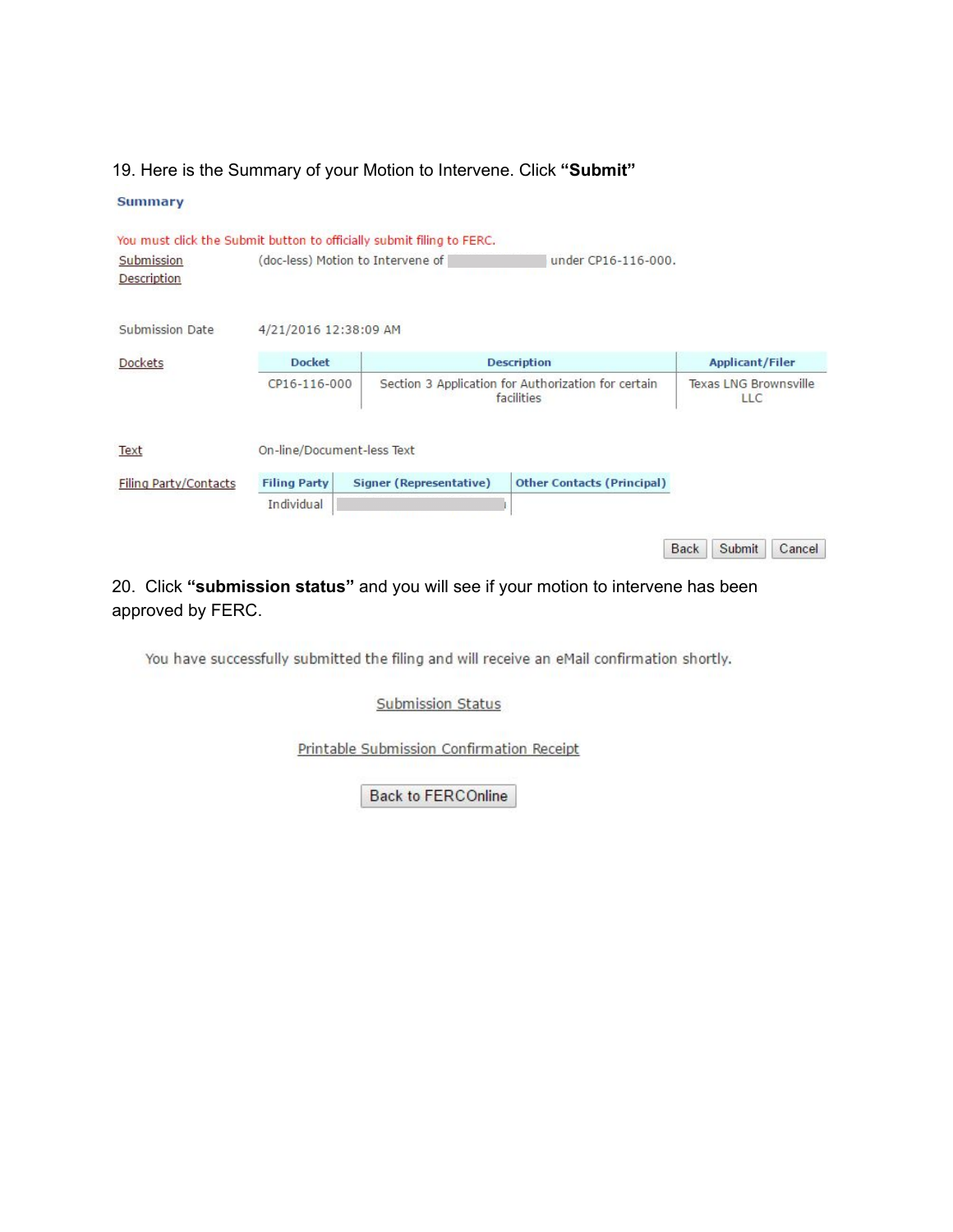### 19. Here is the Summary of your Motion to Intervene. Click **"Submit"**

| <b>Summary</b> |
|----------------|
|----------------|

| Submission<br>Description |                            | You must click the Submit button to officially submit filing to FERC.<br>(doc-less) Motion to Intervene of | under CP16-116-000.                                               |             |                                            |        |  |
|---------------------------|----------------------------|------------------------------------------------------------------------------------------------------------|-------------------------------------------------------------------|-------------|--------------------------------------------|--------|--|
| Submission Date           | 4/21/2016 12:38:09 AM      |                                                                                                            |                                                                   |             |                                            |        |  |
| Dockets                   | <b>Docket</b>              |                                                                                                            | <b>Description</b>                                                |             | <b>Applicant/Filer</b>                     |        |  |
|                           | CP16-116-000               |                                                                                                            | Section 3 Application for Authorization for certain<br>facilities |             | <b>Texas LNG Brownsville</b><br><b>LLC</b> |        |  |
| Text                      | On-line/Document-less Text |                                                                                                            |                                                                   |             |                                            |        |  |
| Filing Party/Contacts     | <b>Filing Party</b>        | Signer (Representative)                                                                                    | <b>Other Contacts (Principal)</b>                                 |             |                                            |        |  |
|                           | Individual                 |                                                                                                            |                                                                   |             |                                            |        |  |
|                           |                            |                                                                                                            |                                                                   | <b>Back</b> | Submit                                     | Cancel |  |

# 20. Click **"submission status"** and you will see if your motion to intervene has been approved by FERC.

You have successfully submitted the filing and will receive an eMail confirmation shortly.

Submission Status

Printable Submission Confirmation Receipt

Back to FERCOnline